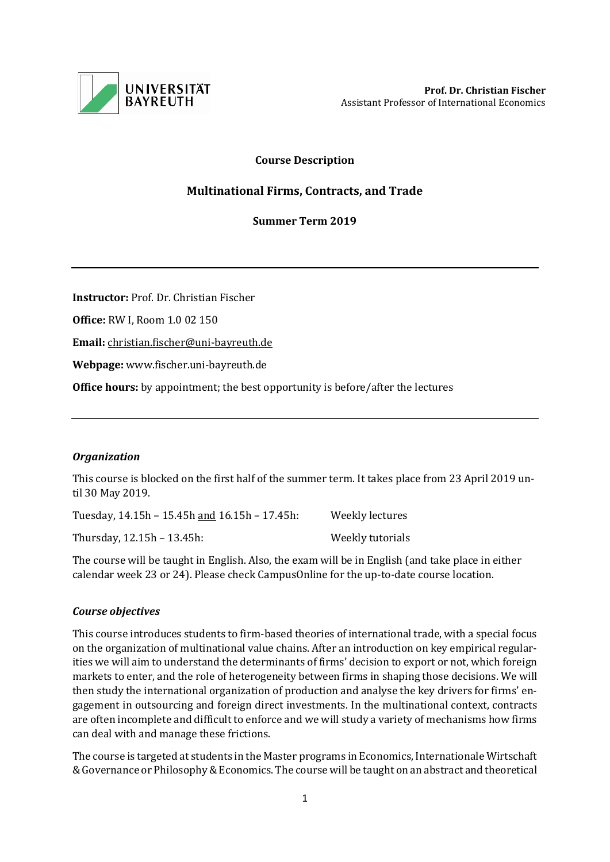

# **Course Description**

# **Multinational Firms, Contracts, and Trade**

# **Summer Term 2019**

**Instructor:** Prof. Dr. Christian Fischer

**Office:** RW I, Room 1.0 02 150

**Email:** [christian.fischer@uni-bayreuth.de](mailto:christian.fischer@uni-bayreuth.de)

**Webpage:** www.fischer.uni-bayreuth.de

**Office hours:** by appointment; the best opportunity is before/after the lectures

# *Organization*

This course is blocked on the first half of the summer term. It takes place from 23 April 2019 until 30 May 2019.

Tuesday, 14.15h – 15.45h and 16.15h – 17.45h: Weekly lectures Thursday, 12.15h – 13.45h: Weekly tutorials

The course will be taught in English. Also, the exam will be in English (and take place in either calendar week 23 or 24). Please check CampusOnline for the up-to-date course location.

# *Course objectives*

This course introduces students to firm-based theories of international trade, with a special focus on the organization of multinational value chains. After an introduction on key empirical regularities we will aim to understand the determinants of firms' decision to export or not, which foreign markets to enter, and the role of heterogeneity between firms in shaping those decisions. We will then study the international organization of production and analyse the key drivers for firms' engagement in outsourcing and foreign direct investments. In the multinational context, contracts are often incomplete and difficult to enforce and we will study a variety of mechanisms how firms can deal with and manage these frictions.

The course is targeted at students in the Master programs in Economics, Internationale Wirtschaft & Governance or Philosophy & Economics. The course will be taught on an abstract and theoretical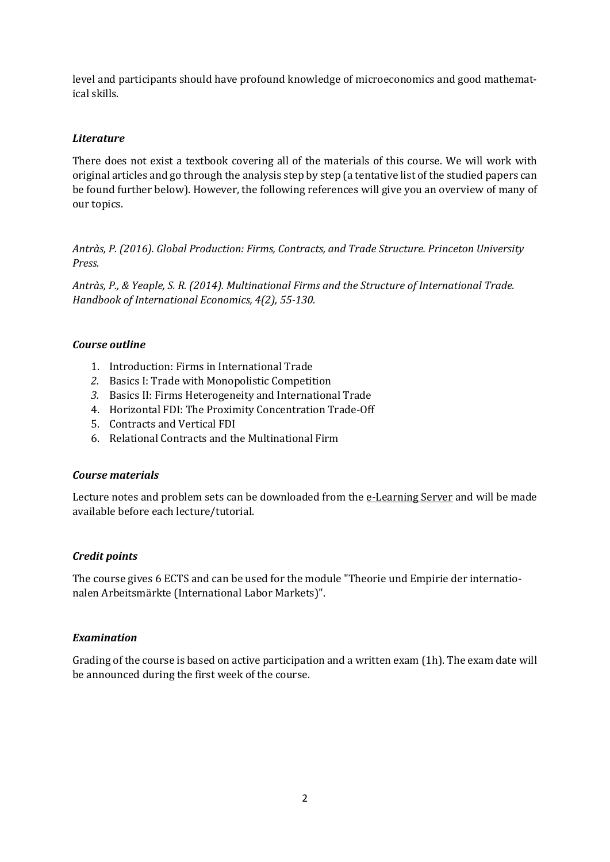level and participants should have profound knowledge of microeconomics and good mathematical skills.

# *Literature*

There does not exist a textbook covering all of the materials of this course. We will work with original articles and go through the analysis step by step (a tentative list of the studied papers can be found further below). However, the following references will give you an overview of many of our topics.

*Antràs, P. (2016). Global Production: Firms, Contracts, and Trade Structure. Princeton University Press.* 

*Antràs, P., & Yeaple, S. R. (2014). Multinational Firms and the Structure of International Trade. Handbook of International Economics, 4(2), 55-130.*

# *Course outline*

- 1. Introduction: Firms in International Trade
- *2.* Basics I: Trade with Monopolistic Competition
- *3.* Basics II: Firms Heterogeneity and International Trade
- 4. Horizontal FDI: The Proximity Concentration Trade-Off
- 5. Contracts and Vertical FDI
- 6. Relational Contracts and the Multinational Firm

#### *Course materials*

Lecture notes and problem sets can be downloaded from the [e-Learning Server](https://elearning.uni-bayreuth.de/) and will be made available before each lecture/tutorial.

#### *Credit points*

The course gives 6 ECTS and can be used for the module "Theorie und Empirie der internationalen Arbeitsmärkte (International Labor Markets)".

# *Examination*

Grading of the course is based on active participation and a written exam (1h). The exam date will be announced during the first week of the course.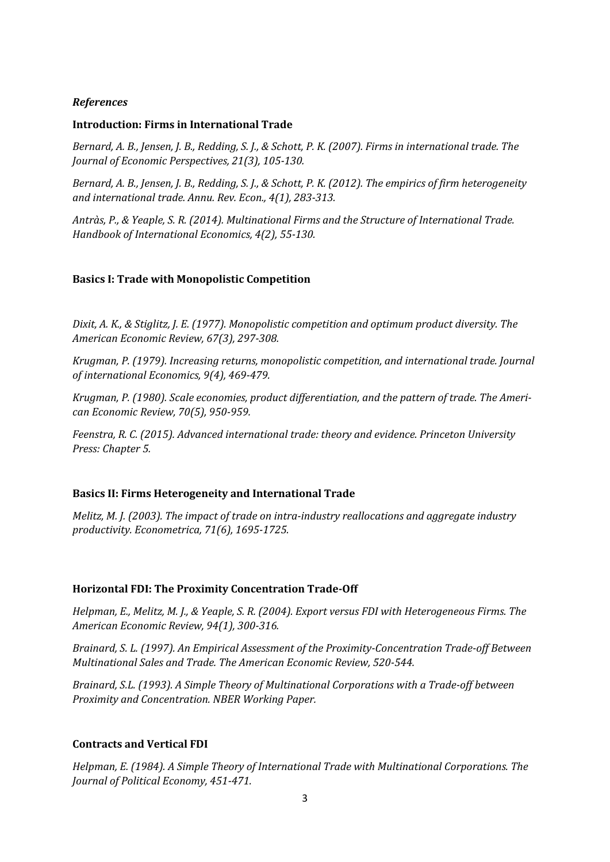### *References*

#### **Introduction: Firms in International Trade**

*Bernard, A. B., Jensen, J. B., Redding, S. J., & Schott, P. K. (2007). Firms in international trade. The Journal of Economic Perspectives, 21(3), 105-130.*

*Bernard, A. B., Jensen, J. B., Redding, S. J., & Schott, P. K. (2012). The empirics of firm heterogeneity and international trade. Annu. Rev. Econ., 4(1), 283-313.*

*Antràs, P., & Yeaple, S. R. (2014). Multinational Firms and the Structure of International Trade. Handbook of International Economics, 4(2), 55-130.*

#### **Basics I: Trade with Monopolistic Competition**

*Dixit, A. K., & Stiglitz, J. E. (1977). Monopolistic competition and optimum product diversity. The American Economic Review, 67(3), 297-308.*

*Krugman, P. (1979). Increasing returns, monopolistic competition, and international trade. Journal of international Economics, 9(4), 469-479.*

*Krugman, P. (1980). Scale economies, product differentiation, and the pattern of trade. The American Economic Review, 70(5), 950-959.*

*Feenstra, R. C. (2015). Advanced international trade: theory and evidence. Princeton University Press: Chapter 5.*

#### **Basics II: Firms Heterogeneity and International Trade**

*Melitz, M. J. (2003). The impact of trade on intra-industry reallocations and aggregate industry productivity. Econometrica, 71(6), 1695-1725.*

#### **Horizontal FDI: The Proximity Concentration Trade-Off**

*Helpman, E., Melitz, M. J., & Yeaple, S. R. (2004). Export versus FDI with Heterogeneous Firms. The American Economic Review, 94(1), 300-316.*

*Brainard, S. L. (1997). An Empirical Assessment of the Proximity-Concentration Trade-off Between Multinational Sales and Trade. The American Economic Review, 520-544.*

*Brainard, S.L. (1993). A Simple Theory of Multinational Corporations with a Trade-off between Proximity and Concentration. NBER Working Paper.*

#### **Contracts and Vertical FDI**

*Helpman, E. (1984). A Simple Theory of International Trade with Multinational Corporations. The Journal of Political Economy, 451-471.*